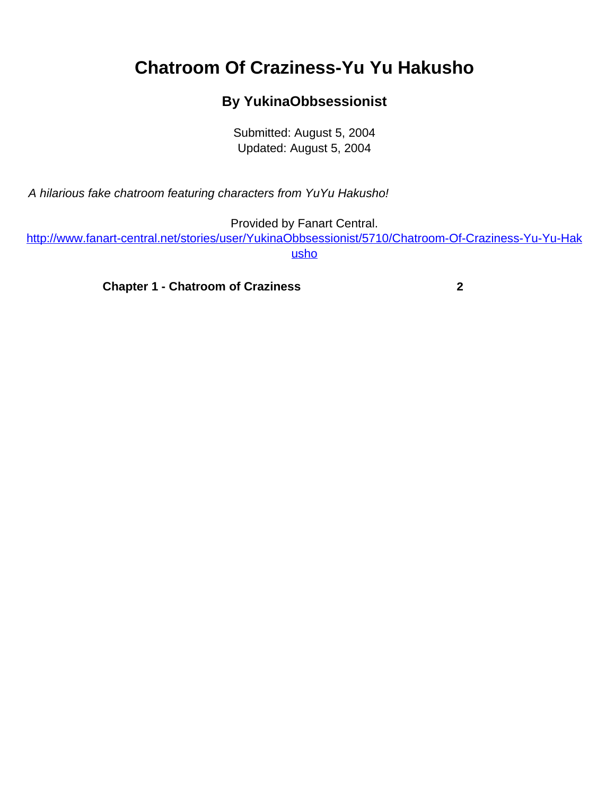## <span id="page-0-0"></span>**Chatroom Of Craziness-Yu Yu Hakusho**

## **By YukinaObbsessionist**

Submitted: August 5, 2004 Updated: August 5, 2004

A hilarious fake chatroom featuring characters from YuYu Hakusho!

Provided by Fanart Central.

[http://www.fanart-central.net/stories/user/YukinaObbsessionist/5710/Chatroom-Of-Craziness-Yu-Yu-Hak](#page-0-0) [usho](#page-0-0)

**[Chapter 1 - Chatroom of Craziness](#page-1-0) [2](#page-1-0)**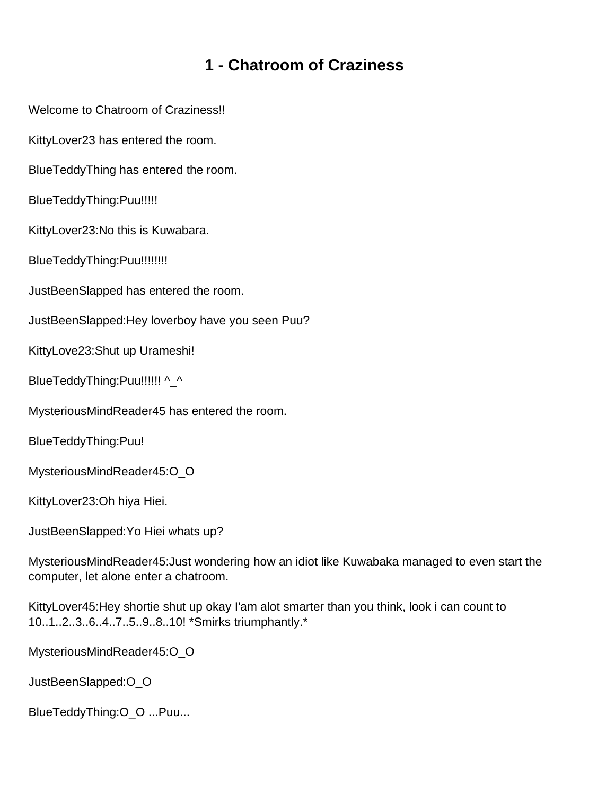## **1 - Chatroom of Craziness**

<span id="page-1-0"></span>Welcome to Chatroom of Craziness!!

KittyLover23 has entered the room.

BlueTeddyThing has entered the room.

BlueTeddyThing:Puu!!!!!

KittyLover23:No this is Kuwabara.

BlueTeddyThing:Puu!!!!!!!!!

JustBeenSlapped has entered the room.

JustBeenSlapped:Hey loverboy have you seen Puu?

KittyLove23:Shut up Urameshi!

BlueTeddyThing:Puu!!!!!!! ^\_^

MysteriousMindReader45 has entered the room.

BlueTeddyThing:Puu!

MysteriousMindReader45:O\_O

KittyLover23:Oh hiya Hiei.

JustBeenSlapped:Yo Hiei whats up?

MysteriousMindReader45:Just wondering how an idiot like Kuwabaka managed to even start the computer, let alone enter a chatroom.

KittyLover45:Hey shortie shut up okay I'am alot smarter than you think, look i can count to 10..1..2..3..6..4..7..5..9..8..10! \*Smirks triumphantly.\*

MysteriousMindReader45:O\_O

JustBeenSlapped:O\_O

BlueTeddyThing:O\_O ...Puu...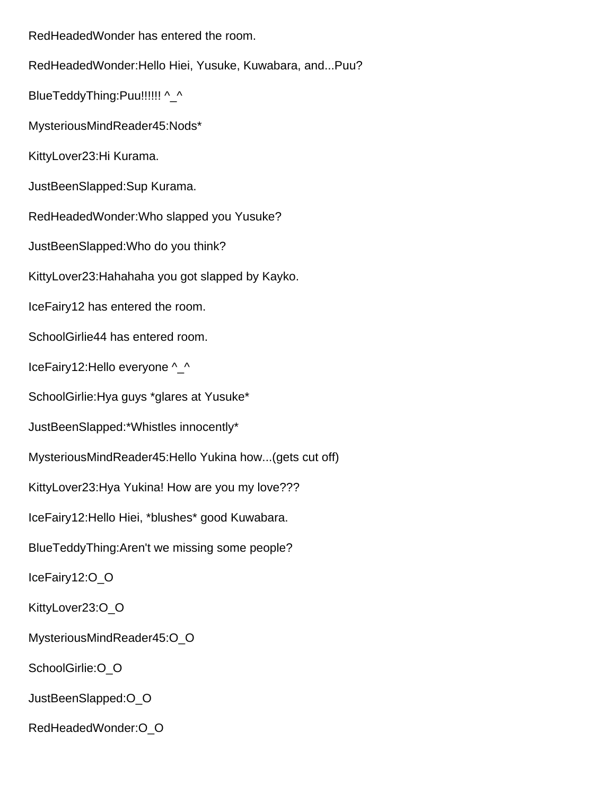RedHeadedWonder has entered the room. RedHeadedWonder:Hello Hiei, Yusuke, Kuwabara, and...Puu? BlueTeddyThing:Puu!!!!!!! ^\_^ MysteriousMindReader45:Nods\* KittyLover23:Hi Kurama. JustBeenSlapped:Sup Kurama. RedHeadedWonder:Who slapped you Yusuke? JustBeenSlapped:Who do you think? KittyLover23:Hahahaha you got slapped by Kayko. IceFairy12 has entered the room. SchoolGirlie44 has entered room. IceFairy12:Hello everyone ^\_^ SchoolGirlie:Hya guys \*glares at Yusuke\* JustBeenSlapped:\*Whistles innocently\* MysteriousMindReader45:Hello Yukina how...(gets cut off) KittyLover23:Hya Yukina! How are you my love??? IceFairy12:Hello Hiei, \*blushes\* good Kuwabara. BlueTeddyThing:Aren't we missing some people? IceFairy12:O\_O KittyLover23:O\_O MysteriousMindReader45:O\_O SchoolGirlie:O\_O JustBeenSlapped:O\_O RedHeadedWonder:O\_O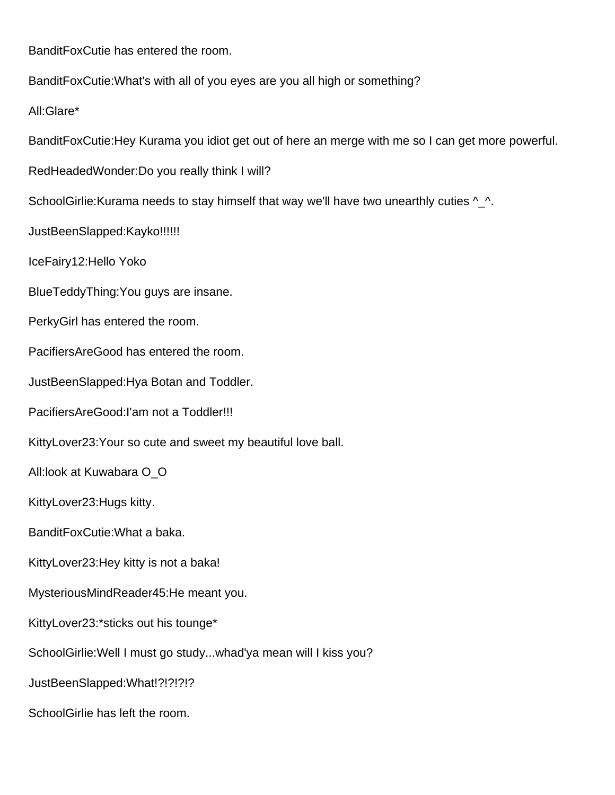BanditFoxCutie has entered the room. BanditFoxCutie:What's with all of you eyes are you all high or something? All:Glare\* BanditFoxCutie:Hey Kurama you idiot get out of here an merge with me so I can get more powerful. RedHeadedWonder:Do you really think I will? SchoolGirlie: Kurama needs to stay himself that way we'll have two unearthly cuties  $\wedge$   $\wedge$ . JustBeenSlapped:Kayko!!!!!! IceFairy12:Hello Yoko BlueTeddyThing:You guys are insane. PerkyGirl has entered the room. PacifiersAreGood has entered the room. JustBeenSlapped:Hya Botan and Toddler. PacifiersAreGood:I'am not a Toddler!!! KittyLover23:Your so cute and sweet my beautiful love ball. All:look at Kuwabara O\_O KittyLover23:Hugs kitty. BanditFoxCutie:What a baka. KittyLover23:Hey kitty is not a baka! MysteriousMindReader45:He meant you. KittyLover23:\*sticks out his tounge\* SchoolGirlie:Well I must go study...whad'ya mean will I kiss you? JustBeenSlapped:What!?!?!?!? SchoolGirlie has left the room.